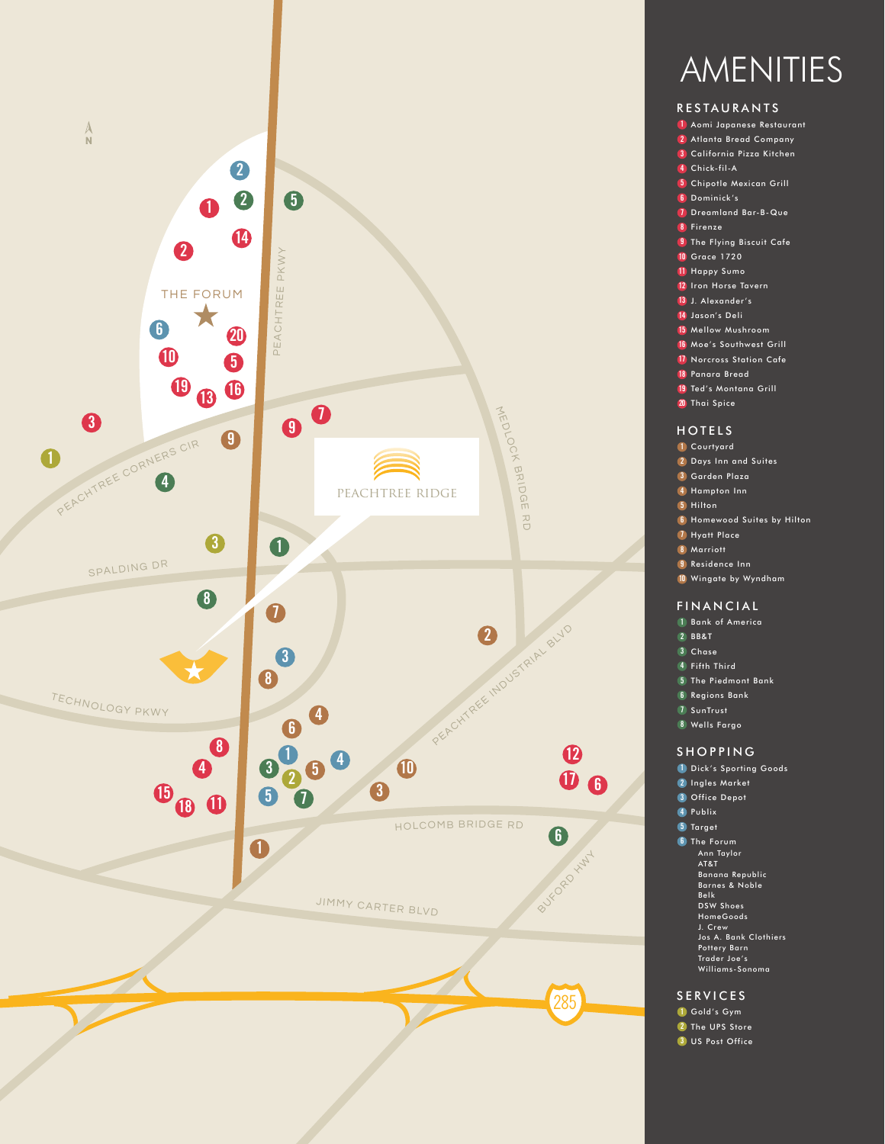



## RESTAURANTS

- Aomi Japanese Restaurant
- 2 Atlanta Bread Company
- California Pizza Kitchen
- Chick-fil-A
- Chipotle Mexican Grill
- Dominick's
- Dreamland Bar-B-Que
- Firenze
- The Flying Biscuit Cafe
- Grace 1720
- Happy Sumo
- Iron Horse Tavern
- J. Alexander's
- Jason's Deli
- Mellow Mushroom
- 16 Moe's Southwest Grill
- 17 Norcross Station Cafe
- Panara Bread
- 19 Ted's Montana Grill
- Thai Spice

### HOTELS

- Courtyard
- Days Inn and Suites
- Garden Plaza
- Hampton Inn
- Hilton
- Homewood Suites by Hilton
- Hyatt Place
- Marriott
- Residence Inn
- Wingate by Wyndham

#### FINANCIAL

- Bank of America
- BB&T
- Chase
- Fifth Third
- The Piedmont Bank
- Regions Bank
- SunTrust
- Wells Fargo

#### SHOPPING

- Dick's Sporting Goods
- Ingles Market
- Office Depot
- Publix
- 5 Target
- The Forum
	- Ann Taylor AT&T
	- Banana Republic Barnes & Noble
	-
	- Belk DSW Shoes
	- HomeGoods J. Crew
	- Jos A. Bank Clothiers
	- Pottery Barn Trader Joe's
	- Williams-Sonoma

#### SERVICES

- Gold's Gym
- 2 The UPS Store
- US Post Office